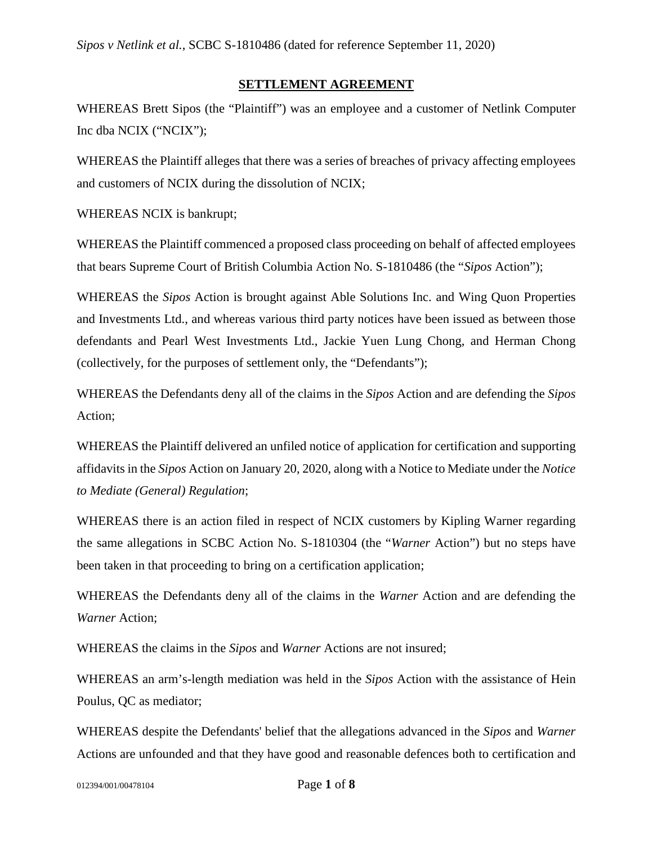#### **SETTLEMENT AGREEMENT**

WHEREAS Brett Sipos (the "Plaintiff") was an employee and a customer of Netlink Computer Inc dba NCIX ("NCIX");

WHEREAS the Plaintiff alleges that there was a series of breaches of privacy affecting employees and customers of NCIX during the dissolution of NCIX;

WHEREAS NCIX is bankrupt;

WHEREAS the Plaintiff commenced a proposed class proceeding on behalf of affected employees that bears Supreme Court of British Columbia Action No. S-1810486 (the "*Sipos* Action");

WHEREAS the *Sipos* Action is brought against Able Solutions Inc. and Wing Quon Properties and Investments Ltd., and whereas various third party notices have been issued as between those defendants and Pearl West Investments Ltd., Jackie Yuen Lung Chong, and Herman Chong (collectively, for the purposes of settlement only, the "Defendants");

WHEREAS the Defendants deny all of the claims in the *Sipos* Action and are defending the *Sipos* Action;

WHEREAS the Plaintiff delivered an unfiled notice of application for certification and supporting affidavits in the *Sipos* Action on January 20, 2020, along with a Notice to Mediate under the *Notice to Mediate (General) Regulation*;

WHEREAS there is an action filed in respect of NCIX customers by Kipling Warner regarding the same allegations in SCBC Action No. S-1810304 (the "*Warner* Action") but no steps have been taken in that proceeding to bring on a certification application;

WHEREAS the Defendants deny all of the claims in the *Warner* Action and are defending the *Warner* Action;

WHEREAS the claims in the *Sipos* and *Warner* Actions are not insured;

WHEREAS an arm's-length mediation was held in the *Sipos* Action with the assistance of Hein Poulus, QC as mediator;

WHEREAS despite the Defendants' belief that the allegations advanced in the *Sipos* and *Warner*  Actions are unfounded and that they have good and reasonable defences both to certification and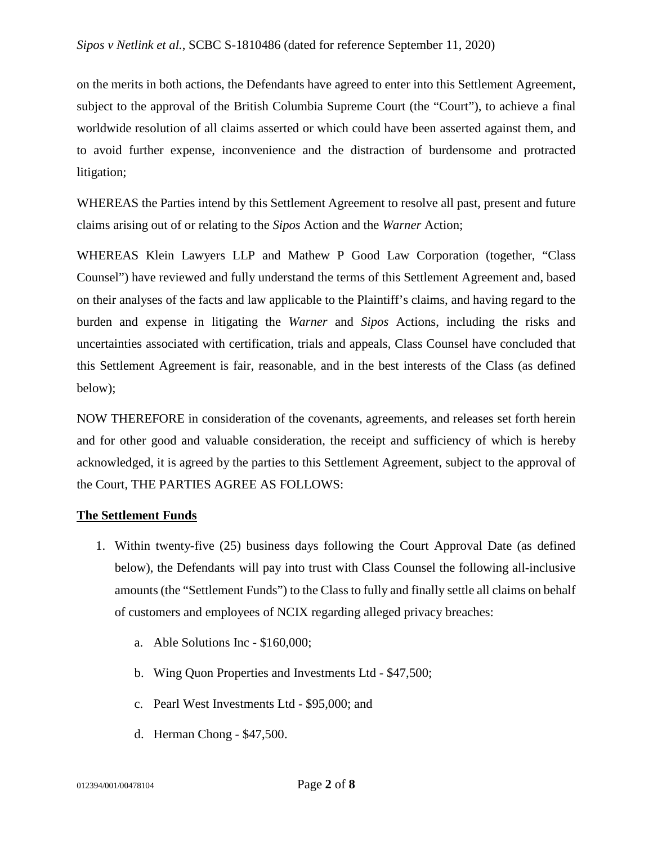on the merits in both actions, the Defendants have agreed to enter into this Settlement Agreement, subject to the approval of the British Columbia Supreme Court (the "Court"), to achieve a final worldwide resolution of all claims asserted or which could have been asserted against them, and to avoid further expense, inconvenience and the distraction of burdensome and protracted litigation;

WHEREAS the Parties intend by this Settlement Agreement to resolve all past, present and future claims arising out of or relating to the *Sipos* Action and the *Warner* Action;

WHEREAS Klein Lawyers LLP and Mathew P Good Law Corporation (together, "Class Counsel") have reviewed and fully understand the terms of this Settlement Agreement and, based on their analyses of the facts and law applicable to the Plaintiff's claims, and having regard to the burden and expense in litigating the *Warner* and *Sipos* Actions, including the risks and uncertainties associated with certification, trials and appeals, Class Counsel have concluded that this Settlement Agreement is fair, reasonable, and in the best interests of the Class (as defined below);

NOW THEREFORE in consideration of the covenants, agreements, and releases set forth herein and for other good and valuable consideration, the receipt and sufficiency of which is hereby acknowledged, it is agreed by the parties to this Settlement Agreement, subject to the approval of the Court, THE PARTIES AGREE AS FOLLOWS:

## **The Settlement Funds**

- 1. Within twenty-five (25) business days following the Court Approval Date (as defined below), the Defendants will pay into trust with Class Counsel the following all-inclusive amounts (the "Settlement Funds") to the Class to fully and finally settle all claims on behalf of customers and employees of NCIX regarding alleged privacy breaches:
	- a. Able Solutions Inc \$160,000;
	- b. Wing Quon Properties and Investments Ltd \$47,500;
	- c. Pearl West Investments Ltd \$95,000; and
	- d. Herman Chong \$47,500.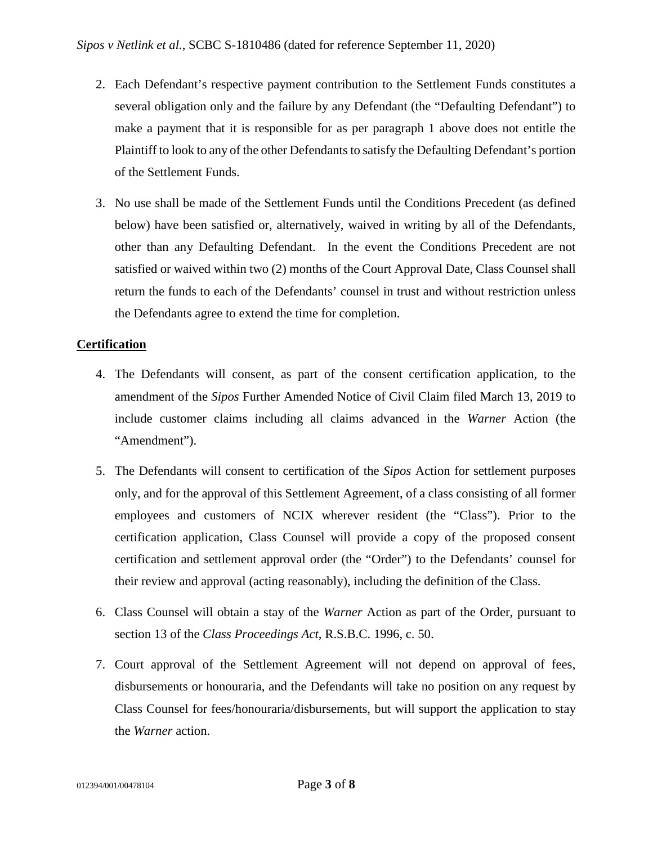- 2. Each Defendant's respective payment contribution to the Settlement Funds constitutes a several obligation only and the failure by any Defendant (the "Defaulting Defendant") to make a payment that it is responsible for as per paragraph 1 above does not entitle the Plaintiff to look to any of the other Defendants to satisfy the Defaulting Defendant's portion of the Settlement Funds.
- 3. No use shall be made of the Settlement Funds until the Conditions Precedent (as defined below) have been satisfied or, alternatively, waived in writing by all of the Defendants, other than any Defaulting Defendant. In the event the Conditions Precedent are not satisfied or waived within two (2) months of the Court Approval Date, Class Counsel shall return the funds to each of the Defendants' counsel in trust and without restriction unless the Defendants agree to extend the time for completion.

# **Certification**

- 4. The Defendants will consent, as part of the consent certification application, to the amendment of the *Sipos* Further Amended Notice of Civil Claim filed March 13, 2019 to include customer claims including all claims advanced in the *Warner* Action (the "Amendment").
- 5. The Defendants will consent to certification of the *Sipos* Action for settlement purposes only, and for the approval of this Settlement Agreement, of a class consisting of all former employees and customers of NCIX wherever resident (the "Class"). Prior to the certification application, Class Counsel will provide a copy of the proposed consent certification and settlement approval order (the "Order") to the Defendants' counsel for their review and approval (acting reasonably), including the definition of the Class.
- 6. Class Counsel will obtain a stay of the *Warner* Action as part of the Order, pursuant to section 13 of the *Class Proceedings Act*, R.S.B.C. 1996, c. 50.
- 7. Court approval of the Settlement Agreement will not depend on approval of fees, disbursements or honouraria, and the Defendants will take no position on any request by Class Counsel for fees/honouraria/disbursements, but will support the application to stay the *Warner* action.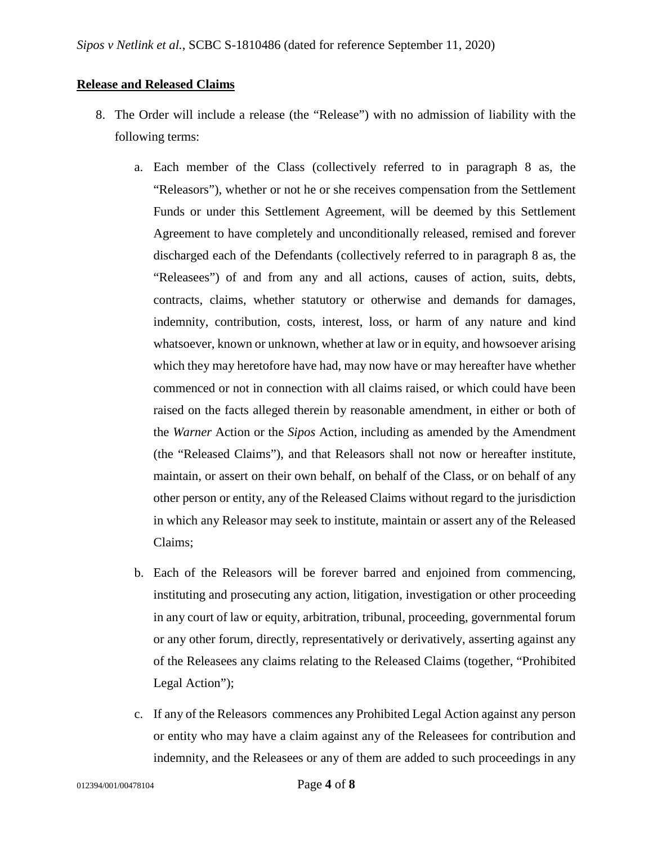## **Release and Released Claims**

- 8. The Order will include a release (the "Release") with no admission of liability with the following terms:
	- a. Each member of the Class (collectively referred to in paragraph 8 as, the "Releasors"), whether or not he or she receives compensation from the Settlement Funds or under this Settlement Agreement, will be deemed by this Settlement Agreement to have completely and unconditionally released, remised and forever discharged each of the Defendants (collectively referred to in paragraph 8 as, the "Releasees") of and from any and all actions, causes of action, suits, debts, contracts, claims, whether statutory or otherwise and demands for damages, indemnity, contribution, costs, interest, loss, or harm of any nature and kind whatsoever, known or unknown, whether at law or in equity, and howsoever arising which they may heretofore have had, may now have or may hereafter have whether commenced or not in connection with all claims raised, or which could have been raised on the facts alleged therein by reasonable amendment, in either or both of the *Warner* Action or the *Sipos* Action, including as amended by the Amendment (the "Released Claims"), and that Releasors shall not now or hereafter institute, maintain, or assert on their own behalf, on behalf of the Class, or on behalf of any other person or entity, any of the Released Claims without regard to the jurisdiction in which any Releasor may seek to institute, maintain or assert any of the Released Claims;
	- b. Each of the Releasors will be forever barred and enjoined from commencing, instituting and prosecuting any action, litigation, investigation or other proceeding in any court of law or equity, arbitration, tribunal, proceeding, governmental forum or any other forum, directly, representatively or derivatively, asserting against any of the Releasees any claims relating to the Released Claims (together, "Prohibited Legal Action");
	- c. If any of the Releasors commences any Prohibited Legal Action against any person or entity who may have a claim against any of the Releasees for contribution and indemnity, and the Releasees or any of them are added to such proceedings in any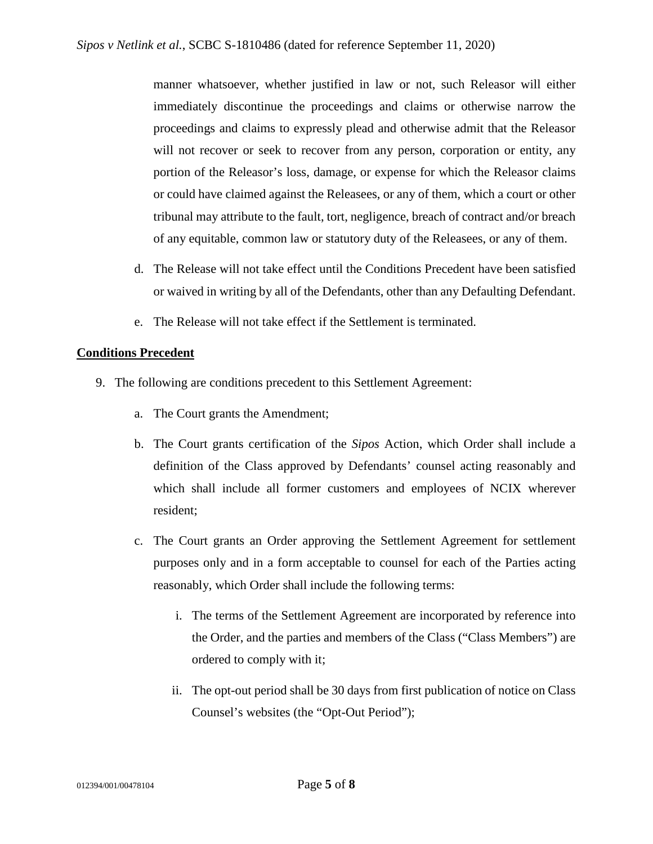manner whatsoever, whether justified in law or not, such Releasor will either immediately discontinue the proceedings and claims or otherwise narrow the proceedings and claims to expressly plead and otherwise admit that the Releasor will not recover or seek to recover from any person, corporation or entity, any portion of the Releasor's loss, damage, or expense for which the Releasor claims or could have claimed against the Releasees, or any of them, which a court or other tribunal may attribute to the fault, tort, negligence, breach of contract and/or breach of any equitable, common law or statutory duty of the Releasees, or any of them.

- d. The Release will not take effect until the Conditions Precedent have been satisfied or waived in writing by all of the Defendants, other than any Defaulting Defendant.
- e. The Release will not take effect if the Settlement is terminated.

# **Conditions Precedent**

- 9. The following are conditions precedent to this Settlement Agreement:
	- a. The Court grants the Amendment;
	- b. The Court grants certification of the *Sipos* Action, which Order shall include a definition of the Class approved by Defendants' counsel acting reasonably and which shall include all former customers and employees of NCIX wherever resident;
	- c. The Court grants an Order approving the Settlement Agreement for settlement purposes only and in a form acceptable to counsel for each of the Parties acting reasonably, which Order shall include the following terms:
		- i. The terms of the Settlement Agreement are incorporated by reference into the Order, and the parties and members of the Class ("Class Members") are ordered to comply with it;
		- ii. The opt-out period shall be 30 days from first publication of notice on Class Counsel's websites (the "Opt-Out Period");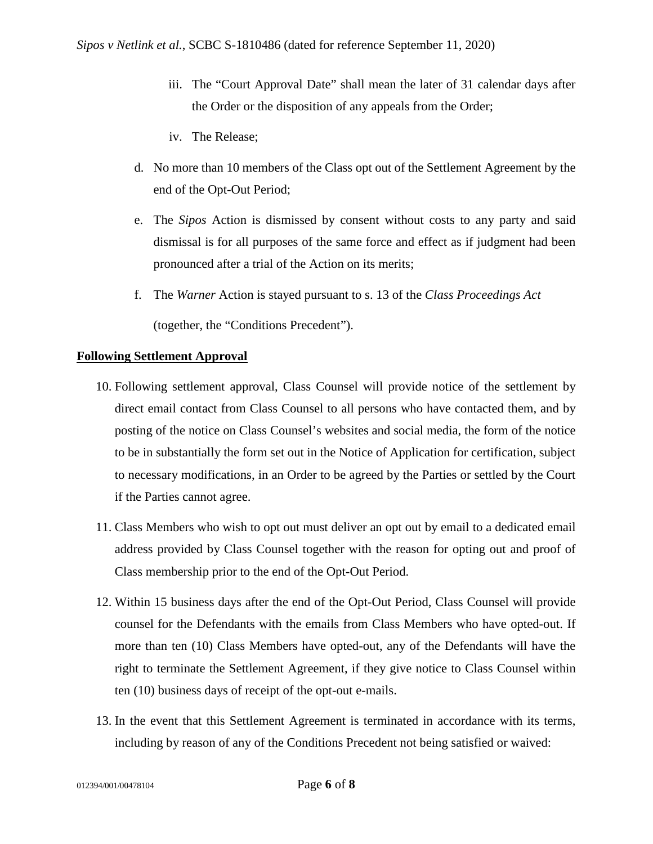- iii. The "Court Approval Date" shall mean the later of 31 calendar days after the Order or the disposition of any appeals from the Order;
- iv. The Release;
- d. No more than 10 members of the Class opt out of the Settlement Agreement by the end of the Opt-Out Period;
- e. The *Sipos* Action is dismissed by consent without costs to any party and said dismissal is for all purposes of the same force and effect as if judgment had been pronounced after a trial of the Action on its merits;
- f. The *Warner* Action is stayed pursuant to s. 13 of the *Class Proceedings Act* (together, the "Conditions Precedent").

# **Following Settlement Approval**

- 10. Following settlement approval, Class Counsel will provide notice of the settlement by direct email contact from Class Counsel to all persons who have contacted them, and by posting of the notice on Class Counsel's websites and social media, the form of the notice to be in substantially the form set out in the Notice of Application for certification, subject to necessary modifications, in an Order to be agreed by the Parties or settled by the Court if the Parties cannot agree.
- 11. Class Members who wish to opt out must deliver an opt out by email to a dedicated email address provided by Class Counsel together with the reason for opting out and proof of Class membership prior to the end of the Opt-Out Period.
- 12. Within 15 business days after the end of the Opt-Out Period, Class Counsel will provide counsel for the Defendants with the emails from Class Members who have opted-out. If more than ten (10) Class Members have opted-out, any of the Defendants will have the right to terminate the Settlement Agreement, if they give notice to Class Counsel within ten (10) business days of receipt of the opt-out e-mails.
- 13. In the event that this Settlement Agreement is terminated in accordance with its terms, including by reason of any of the Conditions Precedent not being satisfied or waived: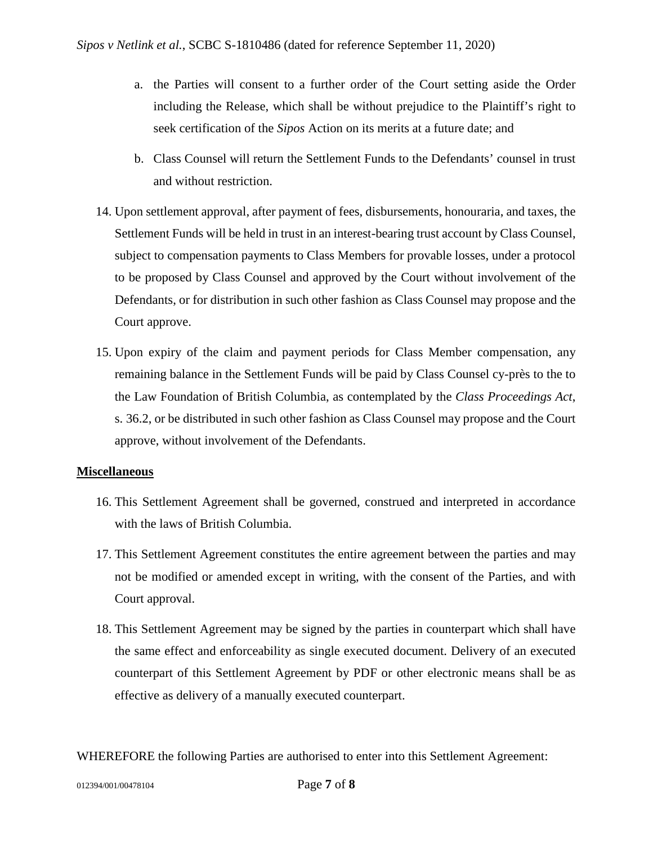- a. the Parties will consent to a further order of the Court setting aside the Order including the Release, which shall be without prejudice to the Plaintiff's right to seek certification of the *Sipos* Action on its merits at a future date; and
- b. Class Counsel will return the Settlement Funds to the Defendants' counsel in trust and without restriction.
- 14. Upon settlement approval, after payment of fees, disbursements, honouraria, and taxes, the Settlement Funds will be held in trust in an interest-bearing trust account by Class Counsel, subject to compensation payments to Class Members for provable losses, under a protocol to be proposed by Class Counsel and approved by the Court without involvement of the Defendants, or for distribution in such other fashion as Class Counsel may propose and the Court approve.
- 15. Upon expiry of the claim and payment periods for Class Member compensation, any remaining balance in the Settlement Funds will be paid by Class Counsel cy-près to the to the Law Foundation of British Columbia, as contemplated by the *Class Proceedings Act*, s. 36.2, or be distributed in such other fashion as Class Counsel may propose and the Court approve, without involvement of the Defendants.

## **Miscellaneous**

- 16. This Settlement Agreement shall be governed, construed and interpreted in accordance with the laws of British Columbia.
- 17. This Settlement Agreement constitutes the entire agreement between the parties and may not be modified or amended except in writing, with the consent of the Parties, and with Court approval.
- 18. This Settlement Agreement may be signed by the parties in counterpart which shall have the same effect and enforceability as single executed document. Delivery of an executed counterpart of this Settlement Agreement by PDF or other electronic means shall be as effective as delivery of a manually executed counterpart.

WHEREFORE the following Parties are authorised to enter into this Settlement Agreement: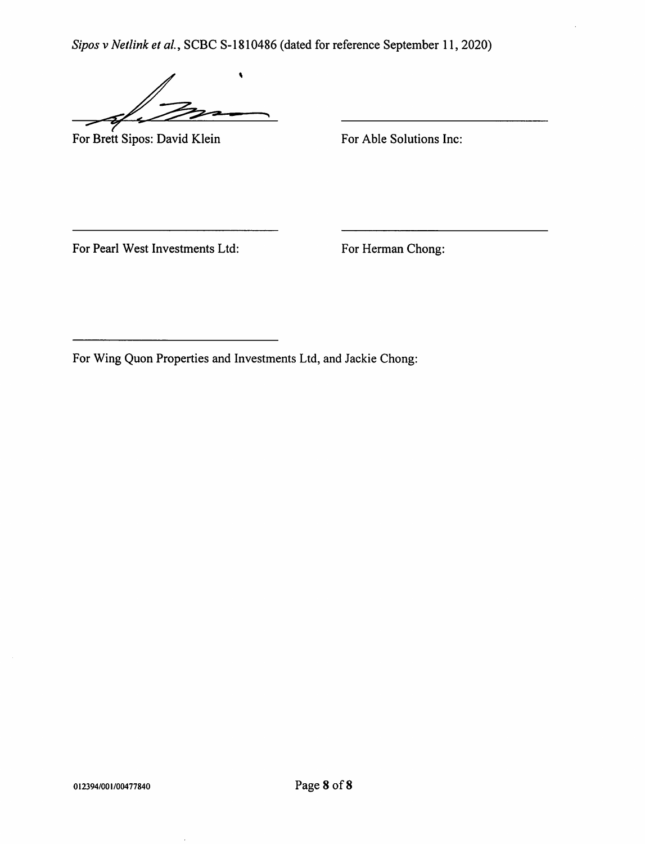$\blacklozenge$ 

For Brett Sipos: David Klein

For Able Solutions Inc:

For Pearl West Investments Ltd:

For Herman Chong: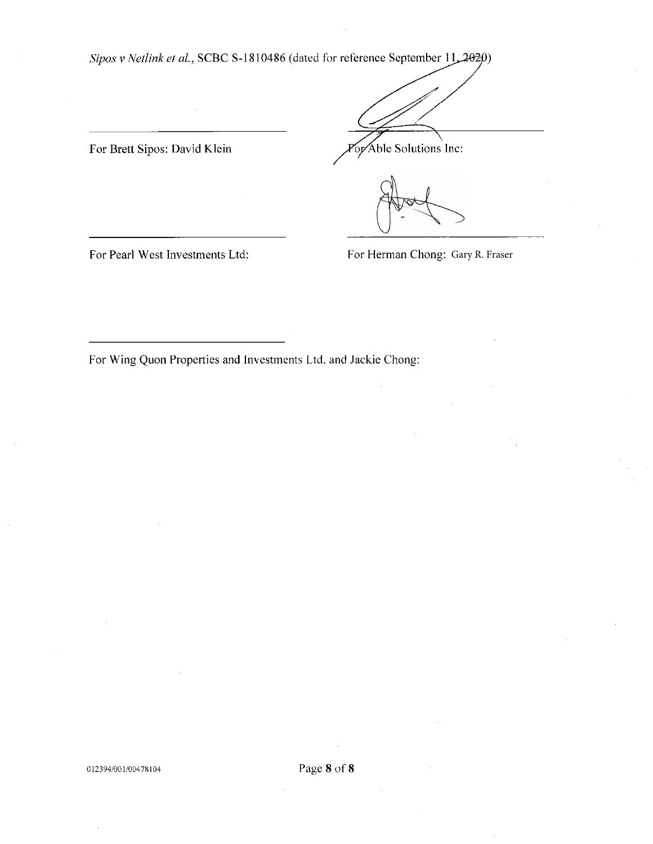For Brett Sipos: David Klein

or Able Solutions Inc:

For Pearl West Investments Ltd:

For Herman Chong: Gary R. Fraser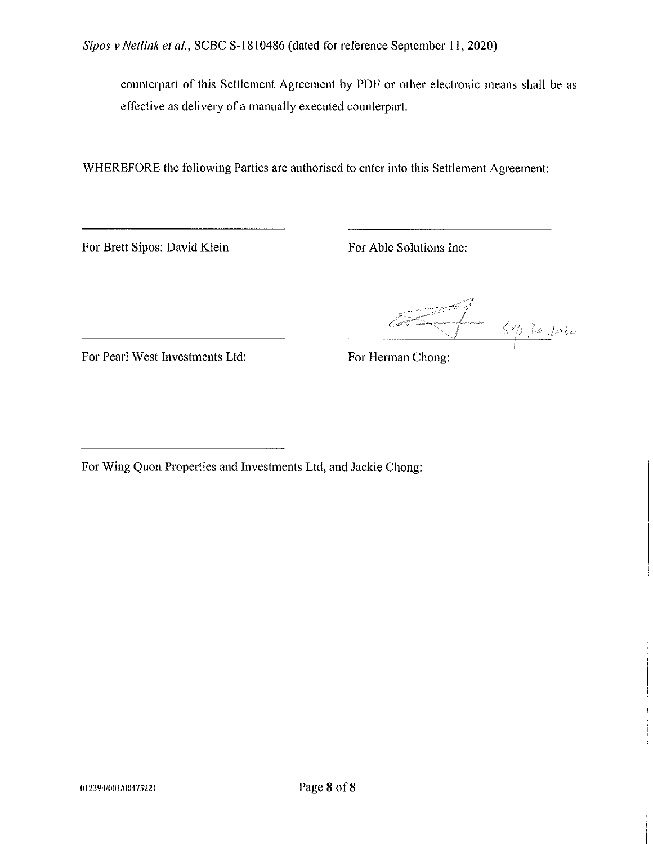counterpart of this Settlement Agreement by PDF or other electronic means shall be as effective as delivery of a manually executed counterpart.

WHEREFORE the following Parties are authorised to enter into this Settlement Agreement:

For Brett Sipos: David Klein

For Able Solutions Inc:

Juan 1930 Volo

For Pearl West Investments Ltd:

For Herman Chong: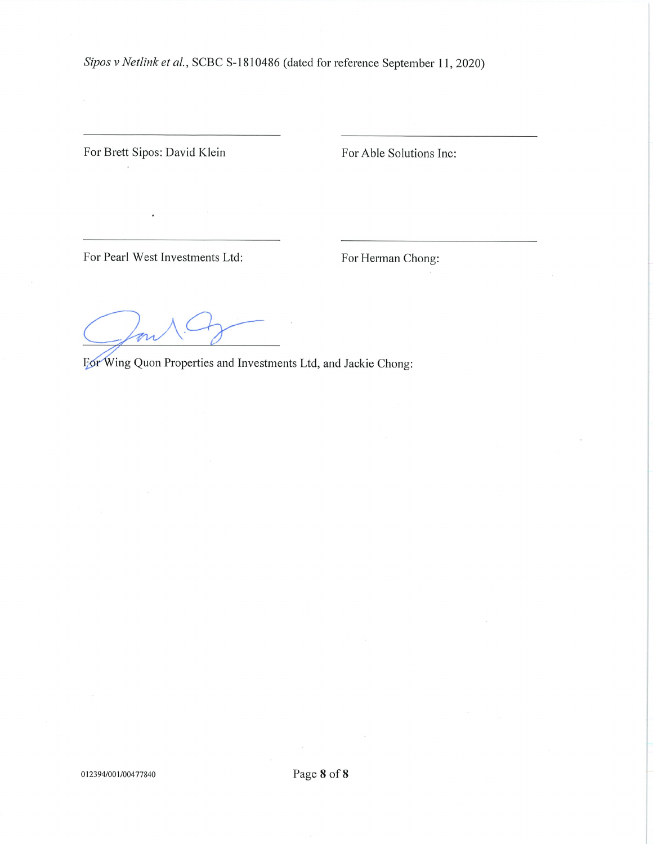For Brett Sipos: David Klein

 $\cdot$ 

For Able Solutions Inc:

For Pearl West Investments Ltd:

For Herman Chong: